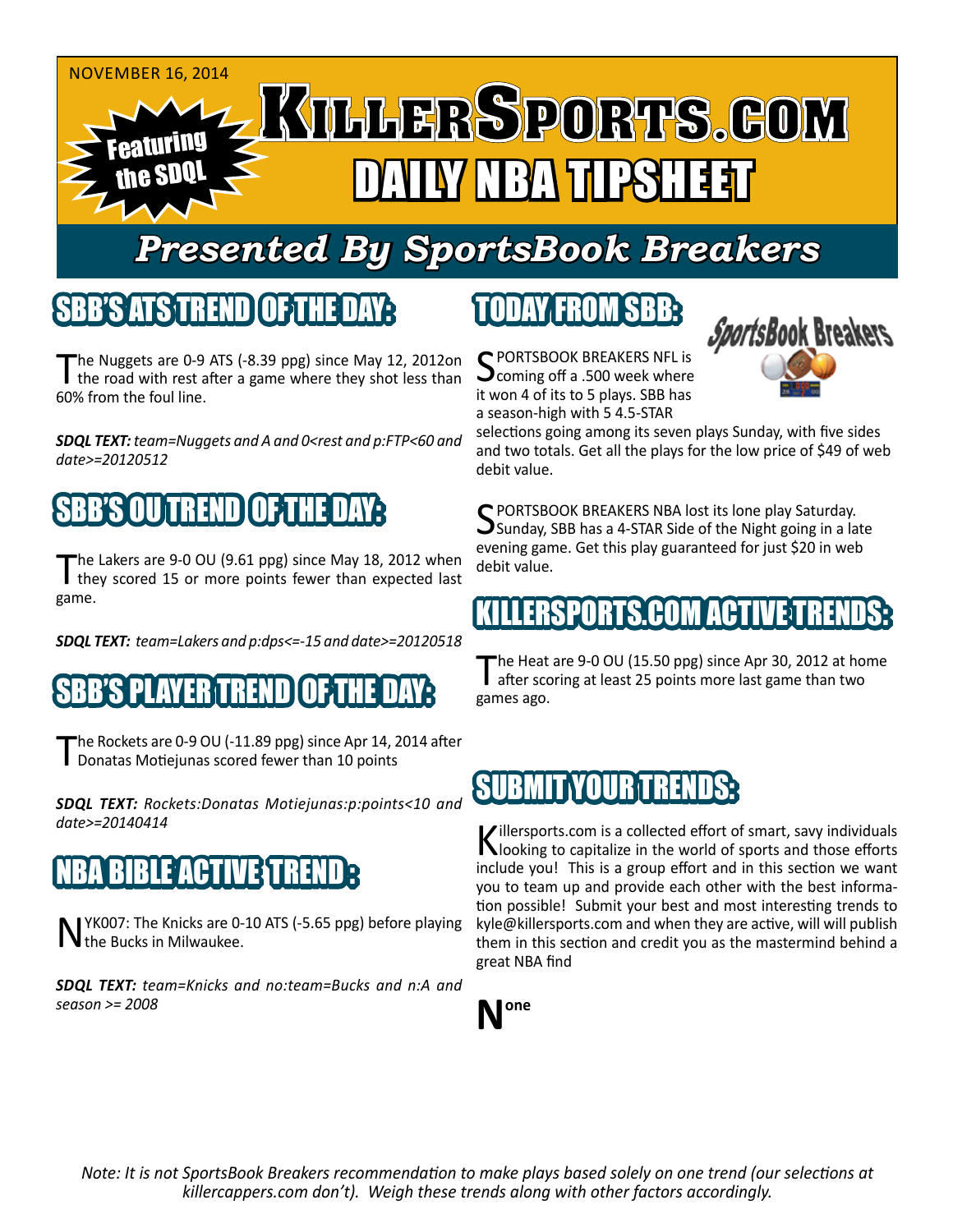

# *Presented By SportsBook Breakers*

#### SBB'S ATS TREND OF THE DAY:

The Nuggets are 0-9 ATS (-8.39 ppg) since May 12, 2012on<br>the road with rest after a game where they shot less than 60% from the foul line.

*SDQL TEXT: team=Nuggets and A and 0<rest and p:FTP<60 and date>=20120512*

#### SBB'S OU TREND OF THE DAY:

The Lakers are 9-0 OU (9.61 ppg) since May 18, 2012 when they scored 15 or more points fewer than expected last game.

*SDQL TEXT: team=Lakers and p:dps<=-15 and date>=20120518*

#### AYERITREND

The Rockets are 0-9 OU (-11.89 ppg) since Apr 14, 2014 after Donatas Motiejunas scored fewer than 10 points

*SDQL TEXT: Rockets:Donatas Motiejunas:p:points<10 and date>=20140414*

### NBA BIBLIO ESTI

NYK007: The Knicks are 0-10 ATS (-5.65 ppg) before playing the Bucks in Milwaukee.

*SDQL TEXT: team=Knicks and no:team=Bucks and n:A and season >= 2008*

# TODAY FROM SBB:

C PORTSBOOK BREAKERS NFL is coming off a .500 week where it won 4 of its to 5 plays. SBB has a season-high with 5 4.5-STAR



selections going among its seven plays Sunday, with five sides and two totals. Get all the plays for the low price of \$49 of web debit value.

C PORTSBOOK BREAKERS NBA lost its lone play Saturday.  $\bigcup$ Sunday, SBB has a 4-STAR Side of the Night going in a late evening game. Get this play guaranteed for just \$20 in web debit value.

#### KILLERSPORTS.COM ACTIVE T

The Heat are 9-0 OU (15.50 ppg) since Apr 30, 2012 at home<br>after scoring at least 25 points more last game than two games ago.

#### **SUBMIT YOUR TREN**

Killersports.com is a collected effort of smart, savy individuals<br>Nooking to capitalize in the world of sports and those efforts include you! This is a group effort and in this section we want you to team up and provide each other with the best information possible! Submit your best and most interesting trends to kyle@killersports.com and when they are active, will will publish them in this section and credit you as the mastermind behind a great NBA find



*Note: It is not SportsBook Breakers recommendation to make plays based solely on one trend (our selections at killercappers.com don't). Weigh these trends along with other factors accordingly.*